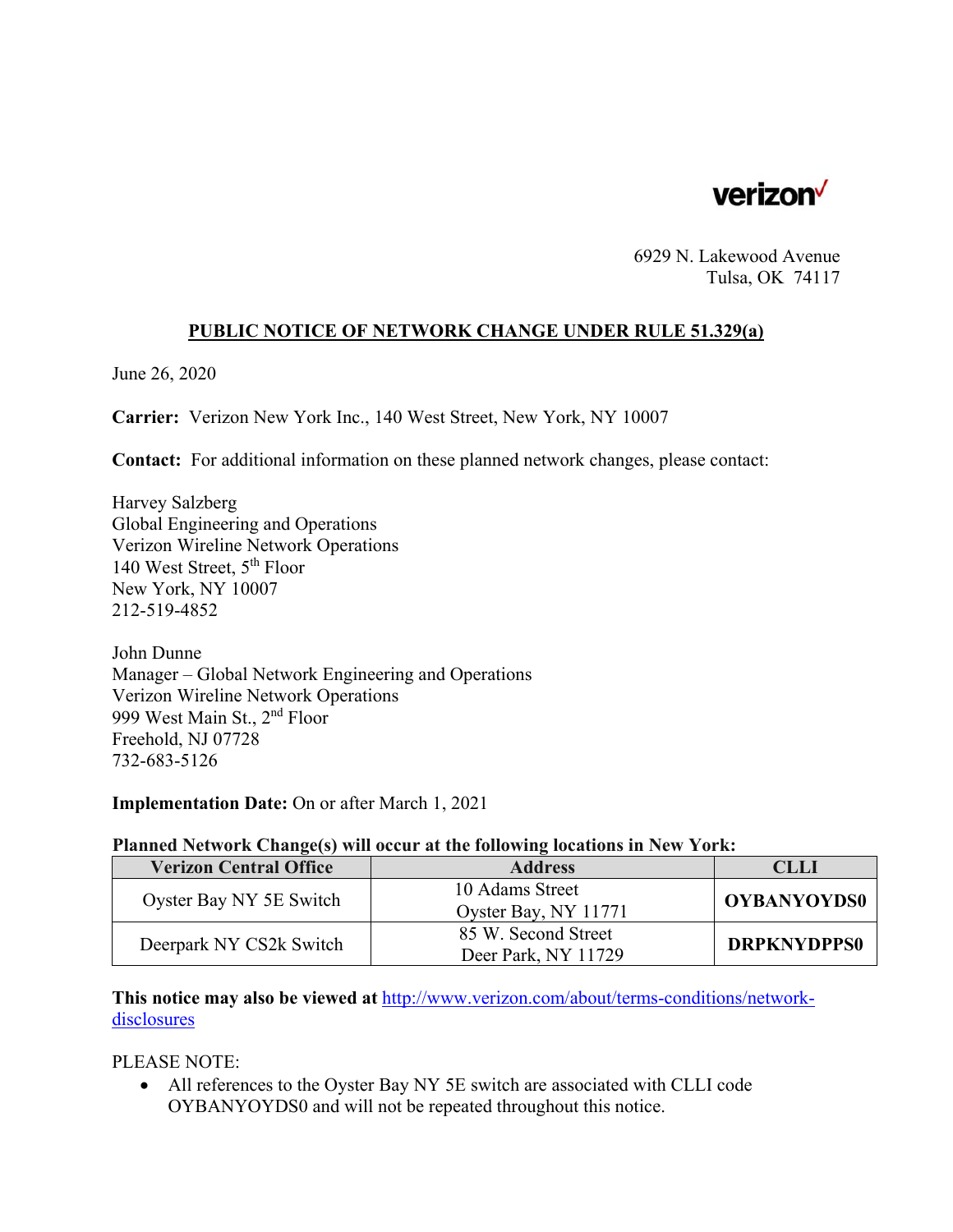

6929 N. Lakewood Avenue Tulsa, OK 74117

## **PUBLIC NOTICE OF NETWORK CHANGE UNDER RULE 51.329(a)**

June 26, 2020

**Carrier:** Verizon New York Inc., 140 West Street, New York, NY 10007

**Contact:** For additional information on these planned network changes, please contact:

Harvey Salzberg Global Engineering and Operations Verizon Wireline Network Operations 140 West Street, 5th Floor New York, NY 10007 212-519-4852

John Dunne Manager – Global Network Engineering and Operations Verizon Wireline Network Operations 999 West Main St., 2nd Floor Freehold, NJ 07728 732-683-5126

**Implementation Date:** On or after March 1, 2021

## **Planned Network Change(s) will occur at the following locations in New York:**

| <b>Verizon Central Office</b> | <b>Address</b>                             | CLLI               |
|-------------------------------|--------------------------------------------|--------------------|
| Oyster Bay NY 5E Switch       | 10 Adams Street<br>Oyster Bay, NY 11771    | <b>OYBANYOYDS0</b> |
| Deerpark NY CS2k Switch       | 85 W. Second Street<br>Deer Park, NY 11729 | <b>DRPKNYDPPS0</b> |

**This notice may also be viewed at** http://www.verizon.com/about/terms-conditions/networkdisclosures

PLEASE NOTE:

 All references to the Oyster Bay NY 5E switch are associated with CLLI code OYBANYOYDS0 and will not be repeated throughout this notice.